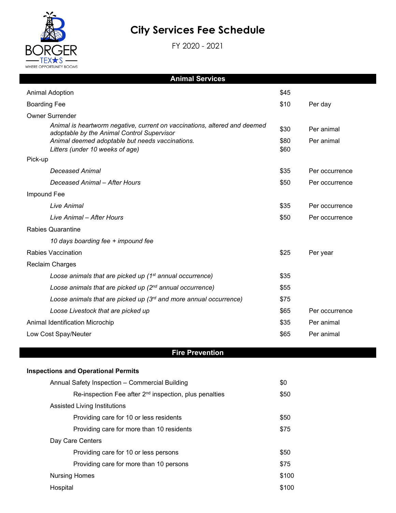

 $\overline{\phantom{a}}$ 

# **City Services Fee Schedule**

FY 2020 - 2021

| <b>Animal Services</b>                                                                                                  |      |                |  |  |  |
|-------------------------------------------------------------------------------------------------------------------------|------|----------------|--|--|--|
| <b>Animal Adoption</b><br>\$45                                                                                          |      |                |  |  |  |
| <b>Boarding Fee</b>                                                                                                     | \$10 | Per day        |  |  |  |
| <b>Owner Surrender</b>                                                                                                  |      |                |  |  |  |
| Animal is heartworm negative, current on vaccinations, altered and deemed<br>adoptable by the Animal Control Supervisor | \$30 | Per animal     |  |  |  |
| Animal deemed adoptable but needs vaccinations.                                                                         | \$80 | Per animal     |  |  |  |
| Litters (under 10 weeks of age)                                                                                         | \$60 |                |  |  |  |
| Pick-up                                                                                                                 |      |                |  |  |  |
| Deceased Animal                                                                                                         | \$35 | Per occurrence |  |  |  |
| Deceased Animal - After Hours                                                                                           | \$50 | Per occurrence |  |  |  |
| Impound Fee                                                                                                             |      |                |  |  |  |
| Live Animal                                                                                                             | \$35 | Per occurrence |  |  |  |
| Live Animal - After Hours                                                                                               | \$50 | Per occurrence |  |  |  |
| <b>Rabies Quarantine</b>                                                                                                |      |                |  |  |  |
| 10 days boarding fee + impound fee                                                                                      |      |                |  |  |  |
| <b>Rabies Vaccination</b>                                                                                               | \$25 | Per year       |  |  |  |
| <b>Reclaim Charges</b>                                                                                                  |      |                |  |  |  |
| Loose animals that are picked up (1 <sup>st</sup> annual occurrence)                                                    | \$35 |                |  |  |  |
| Loose animals that are picked up $(2^{nd}$ annual occurrence)                                                           | \$55 |                |  |  |  |
| Loose animals that are picked up (3rd and more annual occurrence)                                                       | \$75 |                |  |  |  |
| Loose Livestock that are picked up                                                                                      | \$65 | Per occurrence |  |  |  |
| Animal Identification Microchip                                                                                         | \$35 | Per animal     |  |  |  |
| Low Cost Spay/Neuter<br>\$65<br>Per animal                                                                              |      |                |  |  |  |
|                                                                                                                         |      |                |  |  |  |

# **Fire Prevention**

#### **Inspections and Operational Permits**

| Annual Safety Inspection - Commercial Building                     | \$0   |
|--------------------------------------------------------------------|-------|
| Re-inspection Fee after 2 <sup>nd</sup> inspection, plus penalties | \$50  |
| Assisted Living Institutions                                       |       |
| Providing care for 10 or less residents                            | \$50  |
| Providing care for more than 10 residents                          | \$75  |
| Day Care Centers                                                   |       |
| Providing care for 10 or less persons                              | \$50  |
| Providing care for more than 10 persons                            | \$75  |
| <b>Nursing Homes</b>                                               | \$100 |
| Hospital                                                           | \$100 |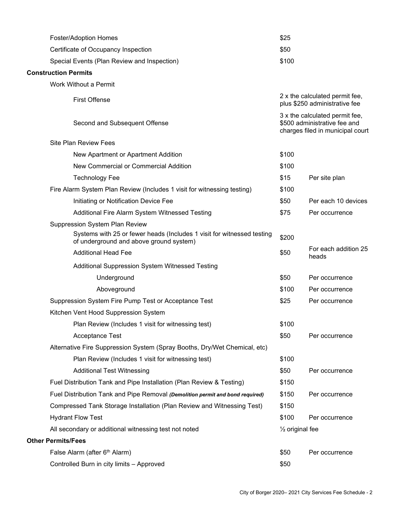| <b>Foster/Adoption Homes</b>                                                                                      | \$25                       |                                                                                                    |
|-------------------------------------------------------------------------------------------------------------------|----------------------------|----------------------------------------------------------------------------------------------------|
| Certificate of Occupancy Inspection                                                                               | \$50                       |                                                                                                    |
| Special Events (Plan Review and Inspection)                                                                       | \$100                      |                                                                                                    |
| <b>Construction Permits</b>                                                                                       |                            |                                                                                                    |
| Work Without a Permit                                                                                             |                            |                                                                                                    |
| <b>First Offense</b>                                                                                              |                            | 2 x the calculated permit fee,<br>plus \$250 administrative fee                                    |
| Second and Subsequent Offense                                                                                     |                            | 3 x the calculated permit fee,<br>\$500 administrative fee and<br>charges filed in municipal court |
| <b>Site Plan Review Fees</b>                                                                                      |                            |                                                                                                    |
| New Apartment or Apartment Addition                                                                               | \$100                      |                                                                                                    |
| New Commercial or Commercial Addition                                                                             | \$100                      |                                                                                                    |
| <b>Technology Fee</b>                                                                                             | \$15                       | Per site plan                                                                                      |
| Fire Alarm System Plan Review (Includes 1 visit for witnessing testing)                                           | \$100                      |                                                                                                    |
| Initiating or Notification Device Fee                                                                             | \$50                       | Per each 10 devices                                                                                |
| Additional Fire Alarm System Witnessed Testing                                                                    | \$75                       | Per occurrence                                                                                     |
| Suppression System Plan Review                                                                                    |                            |                                                                                                    |
| Systems with 25 or fewer heads (Includes 1 visit for witnessed testing<br>of underground and above ground system) | \$200                      |                                                                                                    |
| <b>Additional Head Fee</b>                                                                                        | \$50                       | For each addition 25<br>heads                                                                      |
| Additional Suppression System Witnessed Testing                                                                   |                            |                                                                                                    |
| Underground                                                                                                       | \$50                       | Per occurrence                                                                                     |
| Aboveground                                                                                                       | \$100                      | Per occurrence                                                                                     |
| Suppression System Fire Pump Test or Acceptance Test                                                              | \$25                       | Per occurrence                                                                                     |
| Kitchen Vent Hood Suppression System                                                                              |                            |                                                                                                    |
| Plan Review (Includes 1 visit for witnessing test)                                                                | \$100                      |                                                                                                    |
| Acceptance Test                                                                                                   | \$50                       | Per occurrence                                                                                     |
| Alternative Fire Suppression System (Spray Booths, Dry/Wet Chemical, etc)                                         |                            |                                                                                                    |
| Plan Review (Includes 1 visit for witnessing test)                                                                | \$100                      |                                                                                                    |
| <b>Additional Test Witnessing</b>                                                                                 | \$50                       | Per occurrence                                                                                     |
| Fuel Distribution Tank and Pipe Installation (Plan Review & Testing)                                              | \$150                      |                                                                                                    |
| Fuel Distribution Tank and Pipe Removal (Demolition permit and bond required)                                     | \$150                      | Per occurrence                                                                                     |
| Compressed Tank Storage Installation (Plan Review and Witnessing Test)                                            | \$150                      |                                                                                                    |
| <b>Hydrant Flow Test</b>                                                                                          | \$100                      | Per occurrence                                                                                     |
| All secondary or additional witnessing test not noted                                                             | $\frac{1}{2}$ original fee |                                                                                                    |
| <b>Other Permits/Fees</b>                                                                                         |                            |                                                                                                    |
| False Alarm (after 6 <sup>th</sup> Alarm)                                                                         | \$50                       | Per occurrence                                                                                     |
| Controlled Burn in city limits - Approved                                                                         | \$50                       |                                                                                                    |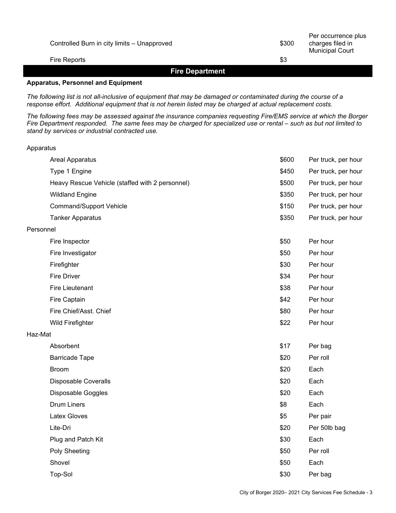| Controlled Burn in city limits - Unapproved | \$300 | Per occurrence plus<br>charges filed in<br><b>Municipal Court</b> |
|---------------------------------------------|-------|-------------------------------------------------------------------|
| Fire Reports                                | \$3   |                                                                   |
|                                             |       |                                                                   |

#### **Fire Department**

#### **Apparatus, Personnel and Equipment**

Apparatus

*The following list is not all-inclusive of equipment that may be damaged or contaminated during the course of a response effort. Additional equipment that is not herein listed may be charged at actual replacement costs.*

*The following fees may be assessed against the insurance companies requesting Fire/EMS service at which the Borger Fire Department responded. The same fees may be charged for specialized use or rental – such as but not limited to stand by services or industrial contracted use.*

|           | <b>Areal Apparatus</b>                          | \$600 | Per truck, per hour |
|-----------|-------------------------------------------------|-------|---------------------|
|           | Type 1 Engine                                   | \$450 | Per truck, per hour |
|           | Heavy Rescue Vehicle (staffed with 2 personnel) | \$500 | Per truck, per hour |
|           | <b>Wildland Engine</b>                          | \$350 | Per truck, per hour |
|           | <b>Command/Support Vehicle</b>                  | \$150 | Per truck, per hour |
|           | <b>Tanker Apparatus</b>                         | \$350 | Per truck, per hour |
| Personnel |                                                 |       |                     |
|           | Fire Inspector                                  | \$50  | Per hour            |
|           | Fire Investigator                               | \$50  | Per hour            |
|           | Firefighter                                     | \$30  | Per hour            |
|           | <b>Fire Driver</b>                              | \$34  | Per hour            |
|           | <b>Fire Lieutenant</b>                          | \$38  | Per hour            |
|           | Fire Captain                                    | \$42  | Per hour            |
|           | Fire Chief/Asst. Chief                          | \$80  | Per hour            |
|           | Wild Firefighter                                | \$22  | Per hour            |
| Haz-Mat   |                                                 |       |                     |
|           | Absorbent                                       | \$17  | Per bag             |
|           | <b>Barricade Tape</b>                           | \$20  | Per roll            |
|           | <b>Broom</b>                                    | \$20  | Each                |
|           | <b>Disposable Coveralls</b>                     | \$20  | Each                |
|           | Disposable Goggles                              | \$20  | Each                |
|           | <b>Drum Liners</b>                              | \$8   | Each                |
|           | <b>Latex Gloves</b>                             | \$5   | Per pair            |
|           | Lite-Dri                                        | \$20  | Per 50lb bag        |
|           | Plug and Patch Kit                              | \$30  | Each                |
|           | Poly Sheeting                                   | \$50  | Per roll            |
|           | Shovel                                          | \$50  | Each                |
|           | Top-Sol                                         | \$30  | Per bag             |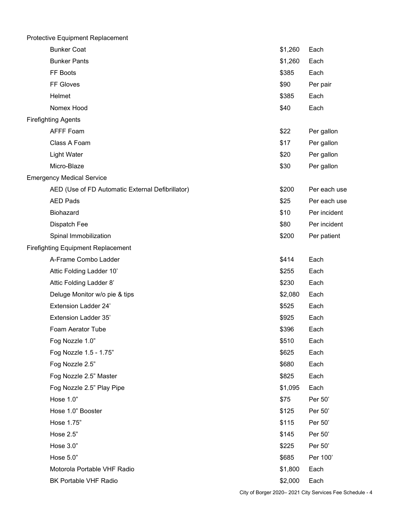| Protective Equipment Replacement                 |         |              |
|--------------------------------------------------|---------|--------------|
| <b>Bunker Coat</b>                               | \$1,260 | Each         |
| <b>Bunker Pants</b>                              | \$1,260 | Each         |
| FF Boots                                         | \$385   | Each         |
| FF Gloves                                        | \$90    | Per pair     |
| Helmet                                           | \$385   | Each         |
| Nomex Hood                                       | \$40    | Each         |
| <b>Firefighting Agents</b>                       |         |              |
| <b>AFFF Foam</b>                                 | \$22    | Per gallon   |
| Class A Foam                                     | \$17    | Per gallon   |
| <b>Light Water</b>                               | \$20    | Per gallon   |
| Micro-Blaze                                      | \$30    | Per gallon   |
| <b>Emergency Medical Service</b>                 |         |              |
| AED (Use of FD Automatic External Defibrillator) | \$200   | Per each use |
| <b>AED Pads</b>                                  | \$25    | Per each use |
| Biohazard                                        | \$10    | Per incident |
| Dispatch Fee                                     | \$80    | Per incident |
| Spinal Immobilization                            | \$200   | Per patient  |
| <b>Firefighting Equipment Replacement</b>        |         |              |
| A-Frame Combo Ladder                             | \$414   | Each         |
| Attic Folding Ladder 10'                         | \$255   | Each         |
| Attic Folding Ladder 8'                          | \$230   | Each         |
| Deluge Monitor w/o pie & tips                    | \$2,080 | Each         |
| <b>Extension Ladder 24'</b>                      | \$525   | Each         |
| <b>Extension Ladder 35'</b>                      | \$925   | Each         |
| Foam Aerator Tube                                | \$396   | Each         |
| Fog Nozzle 1.0"                                  | \$510   | Each         |
| Fog Nozzle 1.5 - 1.75"                           | \$625   | Each         |
| Fog Nozzle 2.5"                                  | \$680   | Each         |
| Fog Nozzle 2.5" Master                           | \$825   | Each         |
| Fog Nozzle 2.5" Play Pipe                        | \$1,095 | Each         |
| Hose 1.0"                                        | \$75    | Per 50'      |
| Hose 1.0" Booster                                | \$125   | Per 50'      |
| Hose 1.75"                                       | \$115   | Per 50'      |
| Hose 2.5"                                        | \$145   | Per 50'      |
| Hose 3.0"                                        | \$225   | Per 50'      |
| Hose 5.0"                                        | \$685   | Per 100'     |
| Motorola Portable VHF Radio                      | \$1,800 | Each         |
| BK Portable VHF Radio                            | \$2,000 | Each         |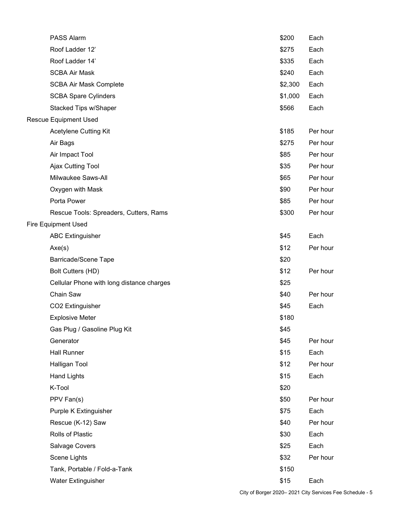| <b>PASS Alarm</b>                         | \$200   | Each     |
|-------------------------------------------|---------|----------|
| Roof Ladder 12'                           | \$275   | Each     |
| Roof Ladder 14'                           | \$335   | Each     |
| <b>SCBA Air Mask</b>                      | \$240   | Each     |
| <b>SCBA Air Mask Complete</b>             | \$2,300 | Each     |
| <b>SCBA Spare Cylinders</b>               | \$1,000 | Each     |
| Stacked Tips w/Shaper                     | \$566   | Each     |
| <b>Rescue Equipment Used</b>              |         |          |
| Acetylene Cutting Kit                     | \$185   | Per hour |
| Air Bags                                  | \$275   | Per hour |
| Air Impact Tool                           | \$85    | Per hour |
| Ajax Cutting Tool                         | \$35    | Per hour |
| Milwaukee Saws-All                        | \$65    | Per hour |
| Oxygen with Mask                          | \$90    | Per hour |
| Porta Power                               | \$85    | Per hour |
| Rescue Tools: Spreaders, Cutters, Rams    | \$300   | Per hour |
| <b>Fire Equipment Used</b>                |         |          |
| <b>ABC Extinguisher</b>                   | \$45    | Each     |
| Axe(s)                                    | \$12    | Per hour |
| <b>Barricade/Scene Tape</b>               | \$20    |          |
| Bolt Cutters (HD)                         | \$12    | Per hour |
| Cellular Phone with long distance charges | \$25    |          |
| Chain Saw                                 | \$40    | Per hour |
| CO2 Extinguisher                          | \$45    | Each     |
| <b>Explosive Meter</b>                    | \$180   |          |
| Gas Plug / Gasoline Plug Kit              | \$45    |          |
| Generator                                 | \$45    | Per hour |
| <b>Hall Runner</b>                        | \$15    | Each     |
| Halligan Tool                             | \$12    | Per hour |
| <b>Hand Lights</b>                        | \$15    | Each     |
| K-Tool                                    | \$20    |          |
| PPV Fan(s)                                | \$50    | Per hour |
| Purple K Extinguisher                     | \$75    | Each     |
| Rescue (K-12) Saw                         | \$40    | Per hour |
| Rolls of Plastic                          | \$30    | Each     |
| Salvage Covers                            | \$25    | Each     |
| Scene Lights                              | \$32    | Per hour |
| Tank, Portable / Fold-a-Tank              | \$150   |          |
| <b>Water Extinguisher</b>                 | \$15    | Each     |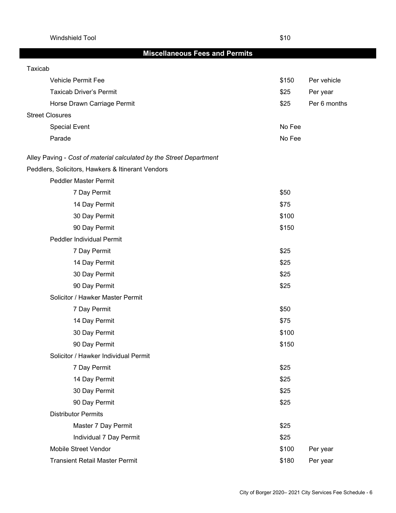Windshield Tool \$10

# **Miscellaneous Fees and Permits**

| Taxicab                                                             |        |              |
|---------------------------------------------------------------------|--------|--------------|
| Vehicle Permit Fee                                                  | \$150  | Per vehicle  |
| <b>Taxicab Driver's Permit</b>                                      | \$25   | Per year     |
| Horse Drawn Carriage Permit                                         | \$25   | Per 6 months |
| <b>Street Closures</b>                                              |        |              |
| <b>Special Event</b>                                                | No Fee |              |
| Parade                                                              | No Fee |              |
| Alley Paving - Cost of material calculated by the Street Department |        |              |
| Peddlers, Solicitors, Hawkers & Itinerant Vendors                   |        |              |
| <b>Peddler Master Permit</b>                                        |        |              |
| 7 Day Permit                                                        | \$50   |              |
| 14 Day Permit                                                       | \$75   |              |
| 30 Day Permit                                                       | \$100  |              |
| 90 Day Permit                                                       | \$150  |              |
| Peddler Individual Permit                                           |        |              |
| 7 Day Permit                                                        | \$25   |              |
| 14 Day Permit                                                       | \$25   |              |
| 30 Day Permit                                                       | \$25   |              |
| 90 Day Permit                                                       | \$25   |              |
| Solicitor / Hawker Master Permit                                    |        |              |
| 7 Day Permit                                                        | \$50   |              |
| 14 Day Permit                                                       | \$75   |              |
| 30 Day Permit                                                       | \$100  |              |
| 90 Day Permit                                                       | \$150  |              |
| Solicitor / Hawker Individual Permit                                |        |              |
| 7 Day Permit                                                        | \$25   |              |
| 14 Day Permit                                                       | \$25   |              |
| 30 Day Permit                                                       | \$25   |              |
| 90 Day Permit                                                       | \$25   |              |
| <b>Distributor Permits</b>                                          |        |              |
| Master 7 Day Permit                                                 | \$25   |              |
| Individual 7 Day Permit                                             | \$25   |              |
| Mobile Street Vendor                                                | \$100  | Per year     |
| <b>Transient Retail Master Permit</b>                               | \$180  | Per year     |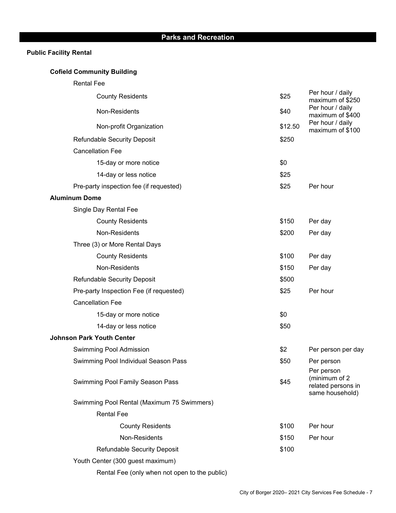# **Public Facility Rental**

# **Cofield Community Building**

Rental Fee

| <b>County Residents</b>                       | \$25    | Per hour / daily<br>maximum of \$250                                 |
|-----------------------------------------------|---------|----------------------------------------------------------------------|
| Non-Residents                                 | \$40    | Per hour / daily<br>maximum of \$400                                 |
| Non-profit Organization                       | \$12.50 | Per hour / daily<br>maximum of \$100                                 |
| <b>Refundable Security Deposit</b>            | \$250   |                                                                      |
| <b>Cancellation Fee</b>                       |         |                                                                      |
| 15-day or more notice                         | \$0     |                                                                      |
| 14-day or less notice                         | \$25    |                                                                      |
| Pre-party inspection fee (if requested)       | \$25    | Per hour                                                             |
| <b>Aluminum Dome</b>                          |         |                                                                      |
| Single Day Rental Fee                         |         |                                                                      |
| <b>County Residents</b>                       | \$150   | Per day                                                              |
| Non-Residents                                 | \$200   | Per day                                                              |
| Three (3) or More Rental Days                 |         |                                                                      |
| <b>County Residents</b>                       | \$100   | Per day                                                              |
| Non-Residents                                 | \$150   | Per day                                                              |
| <b>Refundable Security Deposit</b>            | \$500   |                                                                      |
| Pre-party Inspection Fee (if requested)       | \$25    | Per hour                                                             |
| <b>Cancellation Fee</b>                       |         |                                                                      |
| 15-day or more notice                         | \$0     |                                                                      |
| 14-day or less notice                         | \$50    |                                                                      |
| <b>Johnson Park Youth Center</b>              |         |                                                                      |
| Swimming Pool Admission                       | \$2     | Per person per day                                                   |
| Swimming Pool Individual Season Pass          | \$50    | Per person                                                           |
| Swimming Pool Family Season Pass              | \$45    | Per person<br>(minimum of 2<br>related persons in<br>same household) |
| Swimming Pool Rental (Maximum 75 Swimmers)    |         |                                                                      |
| <b>Rental Fee</b>                             |         |                                                                      |
| <b>County Residents</b>                       | \$100   | Per hour                                                             |
| Non-Residents                                 | \$150   | Per hour                                                             |
| <b>Refundable Security Deposit</b>            | \$100   |                                                                      |
| Youth Center (300 guest maximum)              |         |                                                                      |
| Rental Fee (only when not open to the public) |         |                                                                      |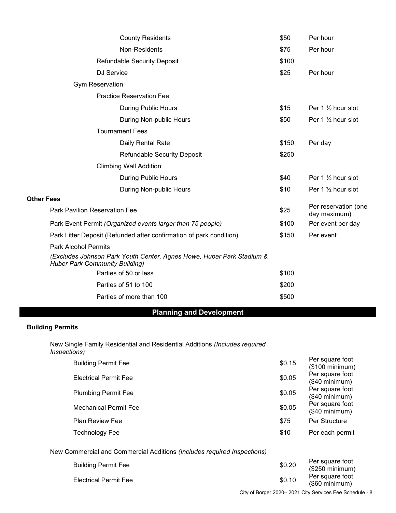| <b>County Residents</b>                                                                                        | \$50  | Per hour                             |
|----------------------------------------------------------------------------------------------------------------|-------|--------------------------------------|
| Non-Residents                                                                                                  | \$75  | Per hour                             |
| <b>Refundable Security Deposit</b>                                                                             | \$100 |                                      |
| <b>DJ</b> Service                                                                                              | \$25  | Per hour                             |
| <b>Gym Reservation</b>                                                                                         |       |                                      |
| <b>Practice Reservation Fee</b>                                                                                |       |                                      |
| <b>During Public Hours</b>                                                                                     | \$15  | Per 1 $\frac{1}{2}$ hour slot        |
| During Non-public Hours                                                                                        | \$50  | Per 1 1/2 hour slot                  |
| <b>Tournament Fees</b>                                                                                         |       |                                      |
| Daily Rental Rate                                                                                              | \$150 | Per day                              |
| <b>Refundable Security Deposit</b>                                                                             | \$250 |                                      |
| <b>Climbing Wall Addition</b>                                                                                  |       |                                      |
| <b>During Public Hours</b>                                                                                     | \$40  | Per 1 $\frac{1}{2}$ hour slot        |
| During Non-public Hours                                                                                        | \$10  | Per 1 $\frac{1}{2}$ hour slot        |
| <b>Other Fees</b>                                                                                              |       |                                      |
| <b>Park Pavilion Reservation Fee</b>                                                                           | \$25  | Per reservation (one<br>day maximum) |
| Park Event Permit (Organized events larger than 75 people)                                                     | \$100 | Per event per day                    |
| Park Litter Deposit (Refunded after confirmation of park condition)                                            | \$150 | Per event                            |
| <b>Park Alcohol Permits</b>                                                                                    |       |                                      |
| (Excludes Johnson Park Youth Center, Agnes Howe, Huber Park Stadium &<br><b>Huber Park Community Building)</b> |       |                                      |
| Parties of 50 or less                                                                                          | \$100 |                                      |
| Parties of 51 to 100                                                                                           | \$200 |                                      |
| Parties of more than 100                                                                                       | \$500 |                                      |

# **Planning and Development**

#### **Building Permits**

New Single Family Residential and Residential Additions *(Includes required Inspections)*

| <b>Building Permit Fee</b>   | \$0.15 | Per square foot<br>(\$100 minimum) |
|------------------------------|--------|------------------------------------|
| <b>Electrical Permit Fee</b> | \$0.05 | Per square foot<br>(\$40 minimum)  |
| <b>Plumbing Permit Fee</b>   | \$0.05 | Per square foot<br>(\$40 minimum)  |
| Mechanical Permit Fee        | \$0.05 | Per square foot<br>(\$40 minimum)  |
| <b>Plan Review Fee</b>       | \$75   | Per Structure                      |
| Technology Fee               | \$10   | Per each permit                    |
|                              |        |                                    |

New Commercial and Commercial Additions *(Includes required Inspections)*

| <b>Building Permit Fee</b>   | \$0.20 | Per square foot<br>(\$250 minimum) |
|------------------------------|--------|------------------------------------|
| <b>Electrical Permit Fee</b> | \$0.10 | Per square foot<br>(\$60 minimum)  |

City of Borger 2020– 2021 City Services Fee Schedule - 8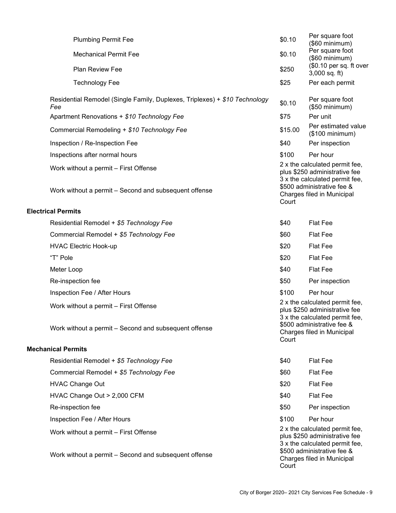|                                                       | <b>Plumbing Permit Fee</b>                                                                     | \$0.10                                                                                                                                                                 | Per square foot<br>(\$60 minimum)          |
|-------------------------------------------------------|------------------------------------------------------------------------------------------------|------------------------------------------------------------------------------------------------------------------------------------------------------------------------|--------------------------------------------|
|                                                       | <b>Mechanical Permit Fee</b>                                                                   | \$0.10                                                                                                                                                                 | Per square foot<br>(\$60 minimum)          |
|                                                       | Plan Review Fee                                                                                | \$250                                                                                                                                                                  | (\$0.10 per sq. ft over<br>$3,000$ sq. ft) |
|                                                       | <b>Technology Fee</b>                                                                          | \$25                                                                                                                                                                   | Per each permit                            |
|                                                       | Residential Remodel (Single Family, Duplexes, Triplexes) + \$10 Technology<br>Fee              | \$0.10                                                                                                                                                                 | Per square foot<br>(\$50 minimum)          |
|                                                       | Apartment Renovations + \$10 Technology Fee                                                    | \$75                                                                                                                                                                   | Per unit                                   |
|                                                       | Commercial Remodeling + \$10 Technology Fee                                                    | \$15.00                                                                                                                                                                | Per estimated value<br>(\$100 minimum)     |
|                                                       | Inspection / Re-Inspection Fee                                                                 | \$40                                                                                                                                                                   | Per inspection                             |
|                                                       | Inspections after normal hours                                                                 | \$100                                                                                                                                                                  | Per hour                                   |
|                                                       | Work without a permit - First Offense<br>Work without a permit - Second and subsequent offense | 2 x the calculated permit fee,<br>plus \$250 administrative fee<br>3 x the calculated permit fee,<br>\$500 administrative fee &<br>Charges filed in Municipal<br>Court |                                            |
|                                                       | <b>Electrical Permits</b>                                                                      |                                                                                                                                                                        |                                            |
|                                                       | Residential Remodel + \$5 Technology Fee                                                       | \$40                                                                                                                                                                   | <b>Flat Fee</b>                            |
|                                                       | Commercial Remodel + \$5 Technology Fee                                                        | \$60                                                                                                                                                                   | <b>Flat Fee</b>                            |
|                                                       | <b>HVAC Electric Hook-up</b>                                                                   | \$20                                                                                                                                                                   | <b>Flat Fee</b>                            |
|                                                       | "T" Pole                                                                                       | \$20                                                                                                                                                                   | <b>Flat Fee</b>                            |
|                                                       | Meter Loop                                                                                     | \$40                                                                                                                                                                   | <b>Flat Fee</b>                            |
|                                                       | Re-inspection fee                                                                              | \$50                                                                                                                                                                   | Per inspection                             |
|                                                       | Inspection Fee / After Hours                                                                   | \$100                                                                                                                                                                  | Per hour                                   |
|                                                       | Work without a permit - First Offense<br>Work without a permit - Second and subsequent offense | 2 x the calculated permit fee,<br>plus \$250 administrative fee<br>3 x the calculated permit fee,<br>\$500 administrative fee &<br>Charges filed in Municipal<br>Court |                                            |
|                                                       | <b>Mechanical Permits</b>                                                                      |                                                                                                                                                                        |                                            |
|                                                       | Residential Remodel + \$5 Technology Fee                                                       | \$40                                                                                                                                                                   | <b>Flat Fee</b>                            |
|                                                       | Commercial Remodel + \$5 Technology Fee                                                        | \$60                                                                                                                                                                   | <b>Flat Fee</b>                            |
|                                                       | <b>HVAC Change Out</b>                                                                         | \$20                                                                                                                                                                   | <b>Flat Fee</b>                            |
|                                                       | HVAC Change Out > 2,000 CFM                                                                    | \$40                                                                                                                                                                   | Flat Fee                                   |
|                                                       | Re-inspection fee                                                                              | \$50                                                                                                                                                                   | Per inspection                             |
|                                                       | Inspection Fee / After Hours                                                                   | \$100                                                                                                                                                                  | Per hour                                   |
|                                                       | Work without a permit - First Offense                                                          | 2 x the calculated permit fee,<br>plus \$250 administrative fee<br>3 x the calculated permit fee,<br>\$500 administrative fee &                                        |                                            |
| Work without a permit – Second and subsequent offense |                                                                                                | Charges filed in Municipal<br>Court                                                                                                                                    |                                            |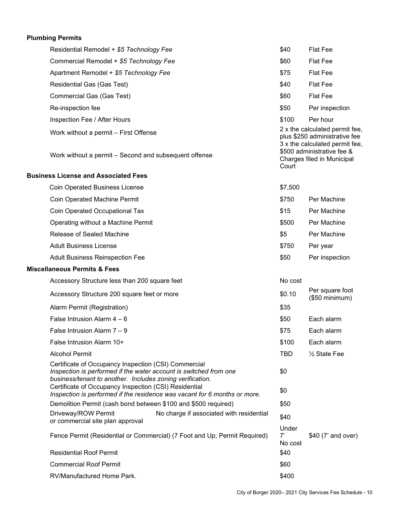# **Plumbing Permits**

| Residential Remodel + \$5 Technology Fee                                                                                                                                               |                                                                           | \$40                                                                                                                            | <b>Flat Fee</b>                   |
|----------------------------------------------------------------------------------------------------------------------------------------------------------------------------------------|---------------------------------------------------------------------------|---------------------------------------------------------------------------------------------------------------------------------|-----------------------------------|
| Commercial Remodel + \$5 Technology Fee                                                                                                                                                |                                                                           | \$60                                                                                                                            | <b>Flat Fee</b>                   |
| Apartment Remodel + \$5 Technology Fee                                                                                                                                                 |                                                                           | \$75                                                                                                                            | <b>Flat Fee</b>                   |
| Residential Gas (Gas Test)                                                                                                                                                             |                                                                           | \$40                                                                                                                            | <b>Flat Fee</b>                   |
| Commercial Gas (Gas Test)                                                                                                                                                              |                                                                           | \$60                                                                                                                            | <b>Flat Fee</b>                   |
| Re-inspection fee                                                                                                                                                                      |                                                                           | \$50                                                                                                                            | Per inspection                    |
| Inspection Fee / After Hours                                                                                                                                                           |                                                                           | \$100                                                                                                                           | Per hour                          |
| Work without a permit - First Offense<br>Work without a permit - Second and subsequent offense                                                                                         |                                                                           | 2 x the calculated permit fee,<br>plus \$250 administrative fee<br>3 x the calculated permit fee,<br>\$500 administrative fee & |                                   |
|                                                                                                                                                                                        |                                                                           | Court                                                                                                                           | Charges filed in Municipal        |
| <b>Business License and Associated Fees</b>                                                                                                                                            |                                                                           |                                                                                                                                 |                                   |
| <b>Coin Operated Business License</b>                                                                                                                                                  |                                                                           | \$7,500                                                                                                                         |                                   |
| Coin Operated Machine Permit                                                                                                                                                           |                                                                           | \$750                                                                                                                           | Per Machine                       |
| Coin Operated Occupational Tax                                                                                                                                                         |                                                                           | \$15                                                                                                                            | Per Machine                       |
| Operating without a Machine Permit                                                                                                                                                     |                                                                           | \$500                                                                                                                           | Per Machine                       |
| Release of Sealed Machine                                                                                                                                                              |                                                                           | \$5                                                                                                                             | Per Machine                       |
| <b>Adult Business License</b>                                                                                                                                                          |                                                                           | \$750                                                                                                                           | Per year                          |
| <b>Adult Business Reinspection Fee</b>                                                                                                                                                 |                                                                           | \$50                                                                                                                            | Per inspection                    |
| <b>Miscellaneous Permits &amp; Fees</b>                                                                                                                                                |                                                                           |                                                                                                                                 |                                   |
| Accessory Structure less than 200 square feet                                                                                                                                          |                                                                           | No cost                                                                                                                         |                                   |
| Accessory Structure 200 square feet or more                                                                                                                                            |                                                                           | \$0.10                                                                                                                          | Per square foot<br>(\$50 minimum) |
| Alarm Permit (Registration)                                                                                                                                                            |                                                                           | \$35                                                                                                                            |                                   |
| False Intrusion Alarm $4-6$                                                                                                                                                            |                                                                           | \$50                                                                                                                            | Each alarm                        |
| False Intrusion Alarm 7 - 9                                                                                                                                                            |                                                                           | \$75                                                                                                                            | Each alarm                        |
| False Intrusion Alarm 10+                                                                                                                                                              |                                                                           | \$100                                                                                                                           | Each alarm                        |
| <b>Alcohol Permit</b>                                                                                                                                                                  |                                                                           | <b>TBD</b>                                                                                                                      | $\frac{1}{2}$ State Fee           |
| Certificate of Occupancy Inspection (CSI) Commercial<br>Inspection is performed if the water account is switched from one<br>business/tenant to another. Includes zoning verification. |                                                                           | \$0                                                                                                                             |                                   |
| Certificate of Occupancy Inspection (CSI) Residential                                                                                                                                  | Inspection is performed if the residence was vacant for 6 months or more. | \$0                                                                                                                             |                                   |
| Demolition Permit (cash bond between \$100 and \$500 required)                                                                                                                         |                                                                           | \$50                                                                                                                            |                                   |
| Driveway/ROW Permit<br>or commercial site plan approval                                                                                                                                | No charge if associated with residential                                  | \$40                                                                                                                            |                                   |
|                                                                                                                                                                                        | Fence Permit (Residential or Commercial) (7 Foot and Up; Permit Required) | Under<br>7'<br>No cost                                                                                                          | \$40 (7' and over)                |
| <b>Residential Roof Permit</b>                                                                                                                                                         |                                                                           | \$40                                                                                                                            |                                   |
| <b>Commercial Roof Permit</b>                                                                                                                                                          |                                                                           | \$60                                                                                                                            |                                   |
| RV/Manufactured Home Park.                                                                                                                                                             |                                                                           | \$400                                                                                                                           |                                   |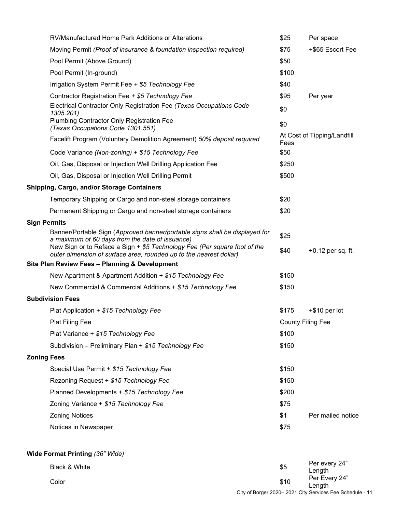|                     | RV/Manufactured Home Park Additions or Alterations                                                                                              | \$25                     | Per space                   |
|---------------------|-------------------------------------------------------------------------------------------------------------------------------------------------|--------------------------|-----------------------------|
|                     | Moving Permit (Proof of insurance & foundation inspection required)                                                                             | \$75                     | +\$65 Escort Fee            |
|                     | Pool Permit (Above Ground)                                                                                                                      | \$50                     |                             |
|                     | Pool Permit (In-ground)                                                                                                                         | \$100                    |                             |
|                     | Irrigation System Permit Fee + \$5 Technology Fee                                                                                               | \$40                     |                             |
|                     | Contractor Registration Fee + \$5 Technology Fee                                                                                                | \$95                     | Per year                    |
|                     | Electrical Contractor Only Registration Fee (Texas Occupations Code<br>1305.201)                                                                | \$0                      |                             |
|                     | Plumbing Contractor Only Registration Fee<br>(Texas Occupations Code 1301.551)                                                                  | \$0                      |                             |
|                     | Facelift Program (Voluntary Demolition Agreement) 50% deposit required                                                                          | Fees                     | At Cost of Tipping/Landfill |
|                     | Code Variance (Non-zoning) + \$15 Technology Fee                                                                                                | \$50                     |                             |
|                     | Oil, Gas, Disposal or Injection Well Drilling Application Fee                                                                                   | \$250                    |                             |
|                     | Oil, Gas, Disposal or Injection Well Drilling Permit                                                                                            | \$500                    |                             |
|                     | Shipping, Cargo, and/or Storage Containers                                                                                                      |                          |                             |
|                     | Temporary Shipping or Cargo and non-steel storage containers                                                                                    | \$20                     |                             |
|                     | Permanent Shipping or Cargo and non-steel storage containers                                                                                    | \$20                     |                             |
| <b>Sign Permits</b> |                                                                                                                                                 |                          |                             |
|                     | Banner/Portable Sign (Approved banner/portable signs shall be displayed for<br>a maximum of 60 days from the date of issuance)                  | \$25                     |                             |
|                     | New Sign or to Reface a Sign + \$5 Technology Fee (Per square foot of the<br>outer dimension of surface area, rounded up to the nearest dollar) | \$40                     | $+0.12$ per sq. ft.         |
|                     | Site Plan Review Fees - Planning & Development                                                                                                  |                          |                             |
|                     | New Apartment & Apartment Addition + \$15 Technology Fee                                                                                        | \$150                    |                             |
|                     | New Commercial & Commercial Additions + \$15 Technology Fee                                                                                     | \$150                    |                             |
|                     | <b>Subdivision Fees</b>                                                                                                                         |                          |                             |
|                     | Plat Application + \$15 Technology Fee                                                                                                          | \$175                    | $+$ \$10 per lot            |
|                     | <b>Plat Filing Fee</b>                                                                                                                          | <b>County Filing Fee</b> |                             |
|                     | Plat Variance + \$15 Technology Fee                                                                                                             | \$100                    |                             |
|                     | Subdivision - Preliminary Plan + \$15 Technology Fee                                                                                            | \$150                    |                             |
| <b>Zoning Fees</b>  |                                                                                                                                                 |                          |                             |
|                     | Special Use Permit + \$15 Technology Fee                                                                                                        | \$150                    |                             |
|                     | Rezoning Request + \$15 Technology Fee                                                                                                          | \$150                    |                             |
|                     | Planned Developments + \$15 Technology Fee                                                                                                      | \$200                    |                             |
|                     | Zoning Variance + \$15 Technology Fee                                                                                                           | \$75                     |                             |
|                     | <b>Zoning Notices</b>                                                                                                                           | \$1                      | Per mailed notice           |
|                     | Notices in Newspaper                                                                                                                            | \$75                     |                             |
|                     | Wide Format Printing (36" Wide)                                                                                                                 |                          |                             |
|                     | Black & White                                                                                                                                   | \$5                      | Per every 24"<br>Length     |

City of Borger 2020– 2021 City Services Fee Schedule - 11 Color \$10 Per Every 24" Length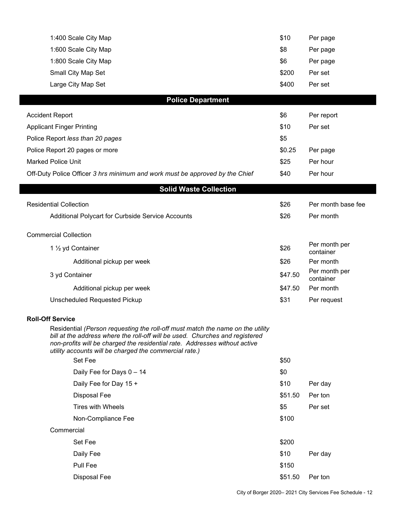| 1:400 Scale City Map                                                                                                                                                                                                                                                                                   | \$10    | Per page                   |
|--------------------------------------------------------------------------------------------------------------------------------------------------------------------------------------------------------------------------------------------------------------------------------------------------------|---------|----------------------------|
| 1:600 Scale City Map                                                                                                                                                                                                                                                                                   | \$8     | Per page                   |
| 1:800 Scale City Map                                                                                                                                                                                                                                                                                   | \$6     | Per page                   |
| Small City Map Set                                                                                                                                                                                                                                                                                     | \$200   | Per set                    |
| Large City Map Set                                                                                                                                                                                                                                                                                     | \$400   | Per set                    |
| <b>Police Department</b>                                                                                                                                                                                                                                                                               |         |                            |
| <b>Accident Report</b>                                                                                                                                                                                                                                                                                 | \$6     | Per report                 |
| <b>Applicant Finger Printing</b>                                                                                                                                                                                                                                                                       | \$10    | Per set                    |
| Police Report less than 20 pages                                                                                                                                                                                                                                                                       | \$5     |                            |
| Police Report 20 pages or more                                                                                                                                                                                                                                                                         | \$0.25  | Per page                   |
| <b>Marked Police Unit</b>                                                                                                                                                                                                                                                                              | \$25    | Per hour                   |
| Off-Duty Police Officer 3 hrs minimum and work must be approved by the Chief                                                                                                                                                                                                                           | \$40    | Per hour                   |
| <b>Solid Waste Collection</b>                                                                                                                                                                                                                                                                          |         |                            |
| <b>Residential Collection</b>                                                                                                                                                                                                                                                                          | \$26    | Per month base fee         |
| Additional Polycart for Curbside Service Accounts                                                                                                                                                                                                                                                      | \$26    | Per month                  |
| <b>Commercial Collection</b>                                                                                                                                                                                                                                                                           |         |                            |
| 1 1/2 yd Container                                                                                                                                                                                                                                                                                     | \$26    | Per month per<br>container |
| Additional pickup per week                                                                                                                                                                                                                                                                             | \$26    | Per month                  |
| 3 yd Container                                                                                                                                                                                                                                                                                         | \$47.50 | Per month per<br>container |
| Additional pickup per week                                                                                                                                                                                                                                                                             | \$47.50 | Per month                  |
| <b>Unscheduled Requested Pickup</b>                                                                                                                                                                                                                                                                    | \$31    | Per request                |
| <b>Roll-Off Service</b>                                                                                                                                                                                                                                                                                |         |                            |
| Residential (Person requesting the roll-off must match the name on the utility<br>bill at the address where the roll-off will be used. Churches and registered<br>non-profits will be charged the residential rate. Addresses without active<br>utility accounts will be charged the commercial rate.) |         |                            |
| Set Fee                                                                                                                                                                                                                                                                                                | \$50    |                            |
| Daily Fee for Days 0 - 14                                                                                                                                                                                                                                                                              | \$0     |                            |
| Daily Fee for Day 15 +                                                                                                                                                                                                                                                                                 | \$10    | Per day                    |
| Disposal Fee                                                                                                                                                                                                                                                                                           | \$51.50 | Per ton                    |
| <b>Tires with Wheels</b>                                                                                                                                                                                                                                                                               | \$5     | Per set                    |
| Non-Compliance Fee                                                                                                                                                                                                                                                                                     | \$100   |                            |
| Commercial                                                                                                                                                                                                                                                                                             |         |                            |
| Set Fee                                                                                                                                                                                                                                                                                                | \$200   |                            |
| Daily Fee                                                                                                                                                                                                                                                                                              | \$10    | Per day                    |
| Pull Fee                                                                                                                                                                                                                                                                                               | \$150   |                            |
| Disposal Fee                                                                                                                                                                                                                                                                                           | \$51.50 | Per ton                    |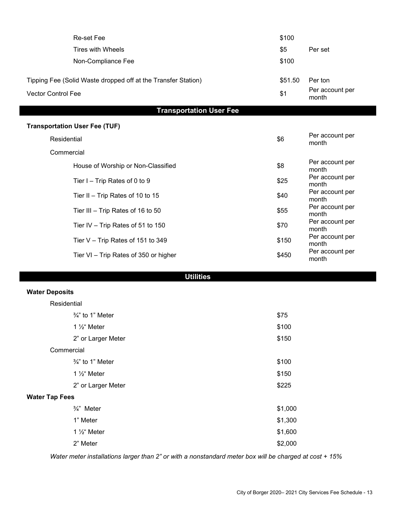| <b>Re-set Fee</b>                                             | \$100   |                          |
|---------------------------------------------------------------|---------|--------------------------|
| <b>Tires with Wheels</b>                                      | \$5     | Per set                  |
| Non-Compliance Fee                                            | \$100   |                          |
| Tipping Fee (Solid Waste dropped off at the Transfer Station) | \$51.50 | Per ton                  |
| <b>Vector Control Fee</b>                                     | \$1     | Per account per<br>month |
| <b>Transportation User Fee</b>                                |         |                          |
| <b>Transportation User Fee (TUF)</b>                          |         |                          |
| Residential                                                   | \$6     | Per account per<br>month |
| Commercial                                                    |         |                          |
| House of Worship or Non-Classified                            | \$8     | Per account per<br>month |
| Tier I - Trip Rates of 0 to 9                                 | \$25    | Per account per<br>month |
| Tier II - Trip Rates of 10 to 15                              | \$40    | Per account per<br>month |
| Tier III - Trip Rates of 16 to 50                             | \$55    | Per account per<br>month |
| Tier IV - Trip Rates of 51 to 150                             | \$70    | Per account per<br>month |
| Tier V - Trip Rates of 151 to 349                             | \$150   | Per account per<br>month |
| Tier VI - Trip Rates of 350 or higher                         | \$450   | Per account per<br>month |
| <b>Utilities</b>                                              |         |                          |
| <b>Water Deposits</b>                                         |         |                          |
| Residential                                                   |         |                          |
| $\frac{3}{4}$ " to 1" Meter                                   | \$75    |                          |
| 1 1/ <sub>2</sub> " Meter                                     | \$100   |                          |
| 2" or Larger Meter                                            | \$150   |                          |
| Commercial                                                    |         |                          |
| $\frac{3}{4}$ " to 1" Meter                                   | \$100   |                          |
| 1 1/ <sub>2</sub> " Meter                                     | \$150   |                          |
| 2" or Larger Meter                                            | \$225   |                          |
| <b>Water Tap Fees</b>                                         |         |                          |
| $\frac{3}{4}$ " Meter                                         | \$1,000 |                          |
| 1" Meter                                                      | \$1,300 |                          |
| 1 1/ <sub>2</sub> " Meter                                     | \$1,600 |                          |
| 2" Meter                                                      | \$2,000 |                          |

*Water meter installations larger than 2" or with a nonstandard meter box will be charged at cost + 15%*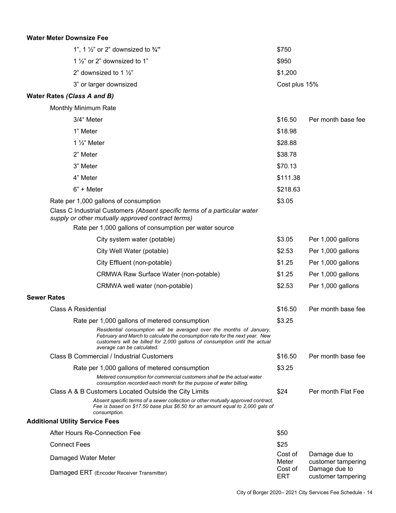#### **Water Meter Downsize Fee**

| 1", 1 $\frac{1}{2}$ " or 2" downsized to $\frac{3}{4}$ " | \$750         |
|----------------------------------------------------------|---------------|
| 1 $\frac{1}{2}$ or 2" downsized to 1"                    | \$950         |
| 2" downsized to 1 $\frac{1}{2}$ "                        | \$1,200       |
| 3" or larger downsized                                   | Cost plus 15% |

#### **Water Rates** *(Class A and B)*

Monthly Minimum Rate

| 3/4" Meter                                                                | \$16.50  | Per month base fee |
|---------------------------------------------------------------------------|----------|--------------------|
| 1" Meter                                                                  | \$18.98  |                    |
| 1 $\frac{1}{2}$ " Meter                                                   | \$28.88  |                    |
| 2" Meter                                                                  | \$38.78  |                    |
| 3" Meter                                                                  | \$70.13  |                    |
| 4" Meter                                                                  | \$111.38 |                    |
| $6" +$ Meter                                                              | \$218.63 |                    |
| Rate per 1,000 gallons of consumption                                     | \$3.05   |                    |
| Class C Industrial Customers (Absent specific terms of a particular water |          |                    |

*supply or other mutually approved contract terms)*

Rate per 1,000 gallons of consumption per water source

|                    |                                        | City system water (potable)                                                                                                                                                                                                                                     | \$3.05                | Per 1,000 gallons                   |
|--------------------|----------------------------------------|-----------------------------------------------------------------------------------------------------------------------------------------------------------------------------------------------------------------------------------------------------------------|-----------------------|-------------------------------------|
|                    |                                        | City Well Water (potable)                                                                                                                                                                                                                                       | \$2.53                | Per 1,000 gallons                   |
|                    |                                        | City Effluent (non-potable)                                                                                                                                                                                                                                     | \$1.25                | Per 1,000 gallons                   |
|                    |                                        | <b>CRMWA Raw Surface Water (non-potable)</b>                                                                                                                                                                                                                    | \$1.25                | Per 1,000 gallons                   |
|                    |                                        | CRMWA well water (non-potable)                                                                                                                                                                                                                                  | \$2.53                | Per 1,000 gallons                   |
| <b>Sewer Rates</b> |                                        |                                                                                                                                                                                                                                                                 |                       |                                     |
|                    | Class A Residential                    |                                                                                                                                                                                                                                                                 | \$16.50               | Per month base fee                  |
|                    |                                        | Rate per 1,000 gallons of metered consumption                                                                                                                                                                                                                   | \$3.25                |                                     |
|                    |                                        | Residential consumption will be averaged over the months of January,<br>February and March to calculate the consumption rate for the next year. New<br>customers will be billed for 2,000 gallons of consumption until the actual<br>average can be calculated. |                       |                                     |
|                    |                                        | Class B Commercial / Industrial Customers                                                                                                                                                                                                                       | \$16.50               | Per month base fee                  |
|                    |                                        | Rate per 1,000 gallons of metered consumption                                                                                                                                                                                                                   | \$3.25                |                                     |
|                    |                                        | Metered consumption for commercial customers shall be the actual water<br>consumption recorded each month for the purpose of water billing.                                                                                                                     |                       |                                     |
|                    |                                        | Class A & B Customers Located Outside the City Limits                                                                                                                                                                                                           | \$24                  | Per month Flat Fee                  |
|                    |                                        | Absent specific terms of a sewer collection or other mutually approved contract.<br>Fee is based on \$17.50 base plus \$6.50 for an amount equal to 2,000 gals of<br>consumption.                                                                               |                       |                                     |
|                    | <b>Additional Utility Service Fees</b> |                                                                                                                                                                                                                                                                 |                       |                                     |
|                    | After Hours Re-Connection Fee          |                                                                                                                                                                                                                                                                 | \$50                  |                                     |
|                    | <b>Connect Fees</b>                    |                                                                                                                                                                                                                                                                 | \$25                  |                                     |
|                    | Damaged Water Meter                    |                                                                                                                                                                                                                                                                 | Cost of<br>Meter      | Damage due to<br>customer tampering |
|                    |                                        | Damaged ERT (Encoder Receiver Transmitter)                                                                                                                                                                                                                      | Cost of<br><b>ERT</b> | Damage due to<br>customer tampering |